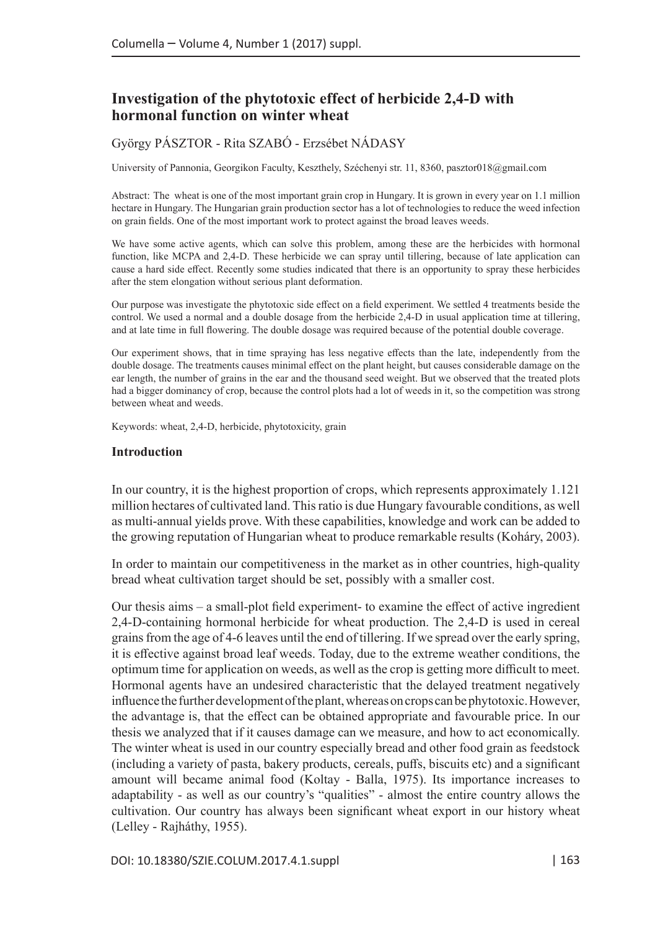# **Investigation of the phytotoxic effect of herbicide 2,4-D with hormonal function on winter wheat**

## György PÁSZTOR - Rita SZABÓ - Erzsébet NÁDASY

University of Pannonia, Georgikon Faculty, Keszthely, Széchenyi str. 11, 8360, pasztor018@gmail.com

Abstract: The wheat is one of the most important grain crop in Hungary. It is grown in every year on 1.1 million hectare in Hungary. The Hungarian grain production sector has a lot of technologies to reduce the weed infection on grain fields. One of the most important work to protect against the broad leaves weeds.

We have some active agents, which can solve this problem, among these are the herbicides with hormonal function, like MCPA and 2,4-D. These herbicide we can spray until tillering, because of late application can cause a hard side effect. Recently some studies indicated that there is an opportunity to spray these herbicides after the stem elongation without serious plant deformation.

Our purpose was investigate the phytotoxic side effect on a field experiment. We settled 4 treatments beside the control. We used a normal and a double dosage from the herbicide 2,4-D in usual application time at tillering, and at late time in full flowering. The double dosage was required because of the potential double coverage.

Our experiment shows, that in time spraying has less negative effects than the late, independently from the double dosage. The treatments causes minimal effect on the plant height, but causes considerable damage on the ear length, the number of grains in the ear and the thousand seed weight. But we observed that the treated plots had a bigger dominancy of crop, because the control plots had a lot of weeds in it, so the competition was strong between wheat and weeds.

Keywords: wheat, 2,4-D, herbicide, phytotoxicity, grain

#### **Introduction**

In our country, it is the highest proportion of crops, which represents approximately 1.121 million hectares of cultivated land. This ratio is due Hungary favourable conditions, as well as multi-annual yields prove. With these capabilities, knowledge and work can be added to the growing reputation of Hungarian wheat to produce remarkable results (Koháry, 2003).

In order to maintain our competitiveness in the market as in other countries, high-quality bread wheat cultivation target should be set, possibly with a smaller cost.

Our thesis aims – a small-plot field experiment- to examine the effect of active ingredient 2,4-D-containing hormonal herbicide for wheat production. The 2,4-D is used in cereal grains from the age of 4-6 leaves until the end of tillering. If we spread over the early spring, it is effective against broad leaf weeds. Today, due to the extreme weather conditions, the optimum time for application on weeds, as well as the crop is getting more difficult to meet. Hormonal agents have an undesired characteristic that the delayed treatment negatively influence the further development of the plant, whereas on crops can be phytotoxic. However, the advantage is, that the effect can be obtained appropriate and favourable price. In our thesis we analyzed that if it causes damage can we measure, and how to act economically. The winter wheat is used in our country especially bread and other food grain as feedstock (including a variety of pasta, bakery products, cereals, puffs, biscuits etc) and a significant amount will became animal food (Koltay - Balla, 1975). Its importance increases to adaptability - as well as our country's "qualities" - almost the entire country allows the cultivation. Our country has always been significant wheat export in our history wheat (Lelley - Rajháthy, 1955).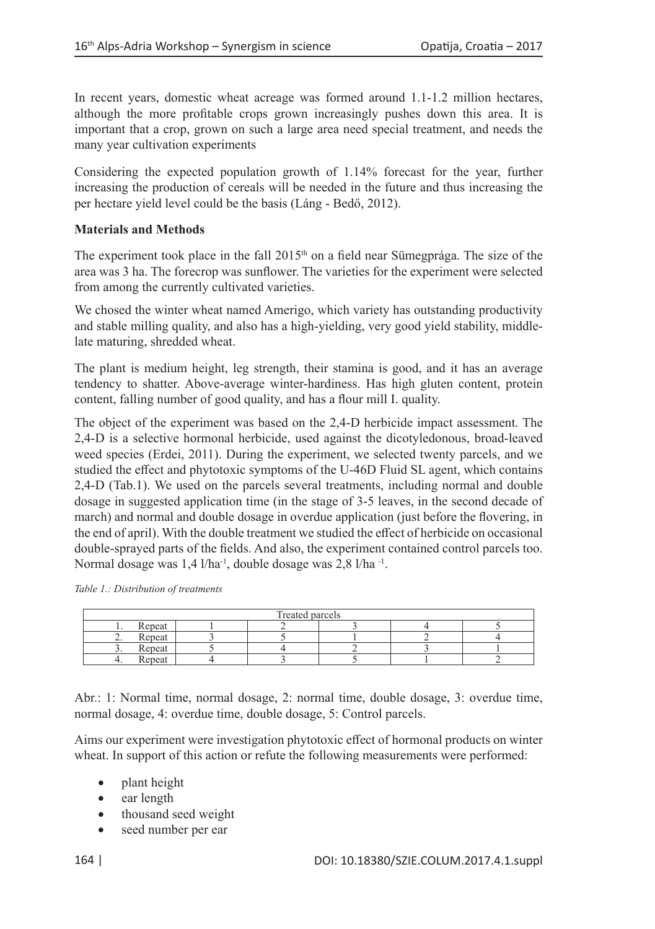In recent years, domestic wheat acreage was formed around 1.1-1.2 million hectares, although the more profitable crops grown increasingly pushes down this area. It is important that a crop, grown on such a large area need special treatment, and needs the many year cultivation experiments

Considering the expected population growth of 1.14% forecast for the year, further increasing the production of cereals will be needed in the future and thus increasing the per hectare yield level could be the basis (Láng - Bedő, 2012).

# **Materials and Methods**

The experiment took place in the fall  $2015<sup>th</sup>$  on a field near Sümegprága. The size of the area was 3 ha. The forecrop was sunflower. The varieties for the experiment were selected from among the currently cultivated varieties.

We chosed the winter wheat named Amerigo, which variety has outstanding productivity and stable milling quality, and also has a high-yielding, very good yield stability, middlelate maturing, shredded wheat.

The plant is medium height, leg strength, their stamina is good, and it has an average tendency to shatter. Above-average winter-hardiness. Has high gluten content, protein content, falling number of good quality, and has a flour mill I. quality.

The object of the experiment was based on the 2,4-D herbicide impact assessment. The 2,4-D is a selective hormonal herbicide, used against the dicotyledonous, broad-leaved weed species (Erdei, 2011). During the experiment, we selected twenty parcels, and we studied the effect and phytotoxic symptoms of the U-46D Fluid SL agent, which contains 2,4-D (Tab.1). We used on the parcels several treatments, including normal and double dosage in suggested application time (in the stage of 3-5 leaves, in the second decade of march) and normal and double dosage in overdue application (just before the flovering, in the end of april). With the double treatment we studied the effect of herbicide on occasional double-sprayed parts of the fields. And also, the experiment contained control parcels too. Normal dosage was 1,4 l/ha<sup>-1</sup>, double dosage was 2,8 l/ha<sup>-1</sup>.

*Table 1.: Distribution of treatments*

| Treated parcels |        |  |  |  |  |  |
|-----------------|--------|--|--|--|--|--|
| $\cdot$         | Repeat |  |  |  |  |  |
| <u>.</u>        | Repeat |  |  |  |  |  |
| <u>.</u>        | Repeat |  |  |  |  |  |
| т.              | Repeat |  |  |  |  |  |

Abr.: 1: Normal time, normal dosage, 2: normal time, double dosage, 3: overdue time, normal dosage, 4: overdue time, double dosage, 5: Control parcels.

Aims our experiment were investigation phytotoxic effect of hormonal products on winter wheat. In support of this action or refute the following measurements were performed:

- plant height
- ear length
- thousand seed weight
- seed number per ear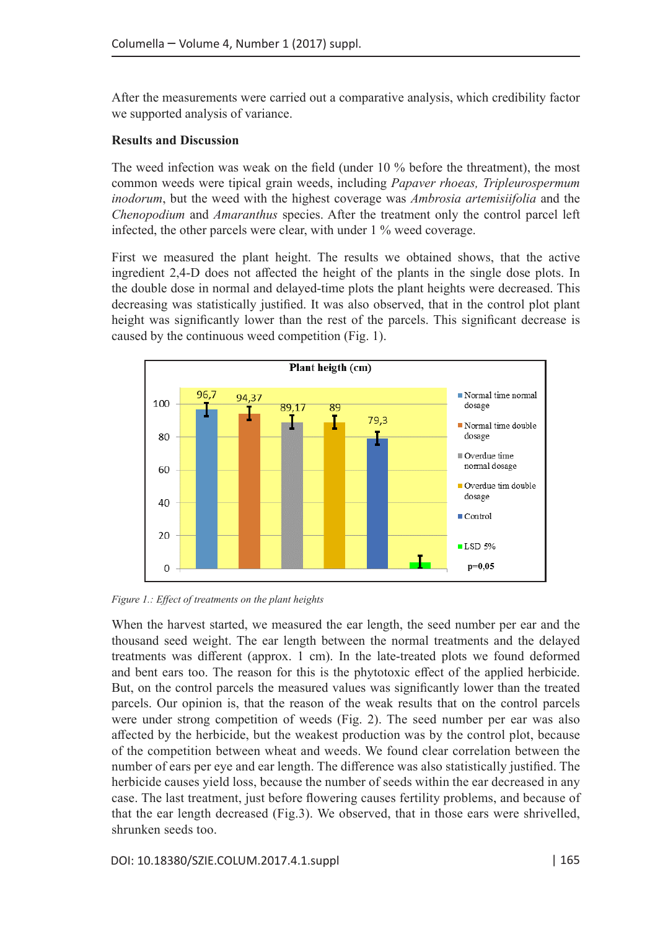After the measurements were carried out a comparative analysis, which credibility factor we supported analysis of variance.

#### **Results and Discussion**

The weed infection was weak on the field (under 10 % before the threatment), the most common weeds were tipical grain weeds, including *Papaver rhoeas, Tripleurospermum inodorum*, but the weed with the highest coverage was *Ambrosia artemisiifolia* and the *Chenopodium* and *Amaranthus* species. After the treatment only the control parcel left infected, the other parcels were clear, with under 1 % weed coverage.

First we measured the plant height. The results we obtained shows, that the active ingredient 2,4-D does not affected the height of the plants in the single dose plots. In the double dose in normal and delayed-time plots the plant heights were decreased. This decreasing was statistically justified. It was also observed, that in the control plot plant height was significantly lower than the rest of the parcels. This significant decrease is caused by the continuous weed competition (Fig. 1).



*Figure 1.: Effect of treatments on the plant heights*

When the harvest started, we measured the ear length, the seed number per ear and the thousand seed weight. The ear length between the normal treatments and the delayed treatments was different (approx. 1 cm). In the late-treated plots we found deformed and bent ears too. The reason for this is the phytotoxic effect of the applied herbicide. But, on the control parcels the measured values was significantly lower than the treated parcels. Our opinion is, that the reason of the weak results that on the control parcels were under strong competition of weeds (Fig. 2). The seed number per ear was also affected by the herbicide, but the weakest production was by the control plot, because of the competition between wheat and weeds. We found clear correlation between the number of ears per eye and ear length. The difference was also statistically justified. The herbicide causes yield loss, because the number of seeds within the ear decreased in any case. The last treatment, just before flowering causes fertility problems, and because of that the ear length decreased (Fig.3). We observed, that in those ears were shrivelled, shrunken seeds too.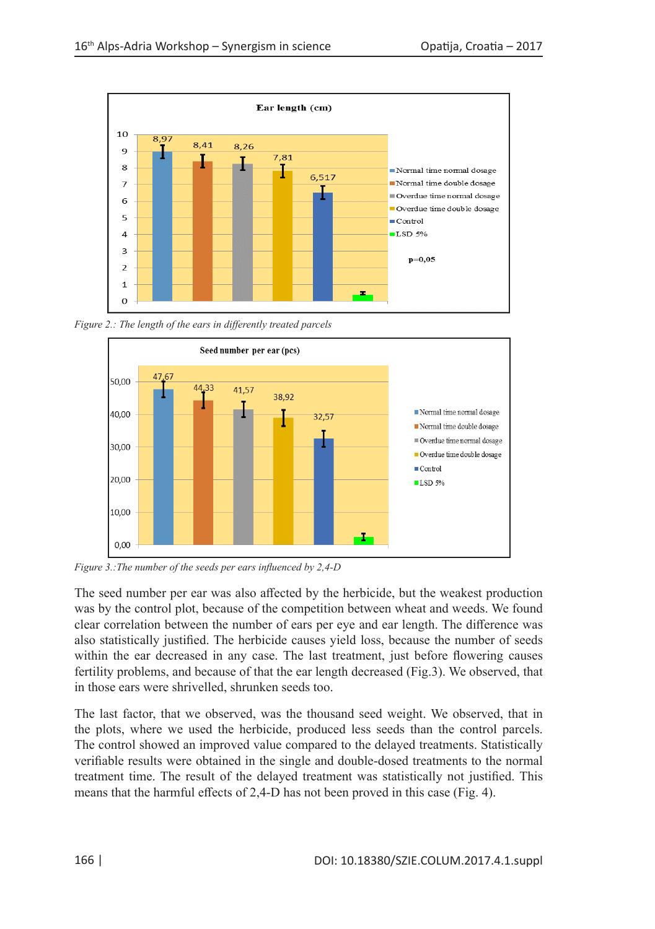

*Figure 2.: The length of the ears in differently treated parcels*



*Figure 3.:The number of the seeds per ears influenced by 2,4-D*

The seed number per ear was also affected by the herbicide, but the weakest production was by the control plot, because of the competition between wheat and weeds. We found clear correlation between the number of ears per eye and ear length. The difference was also statistically justified. The herbicide causes yield loss, because the number of seeds within the ear decreased in any case. The last treatment, just before flowering causes fertility problems, and because of that the ear length decreased (Fig.3). We observed, that in those ears were shrivelled, shrunken seeds too.

The last factor, that we observed, was the thousand seed weight. We observed, that in the plots, where we used the herbicide, produced less seeds than the control parcels. The control showed an improved value compared to the delayed treatments. Statistically verifiable results were obtained in the single and double-dosed treatments to the normal treatment time. The result of the delayed treatment was statistically not justified. This means that the harmful effects of 2,4-D has not been proved in this case (Fig. 4).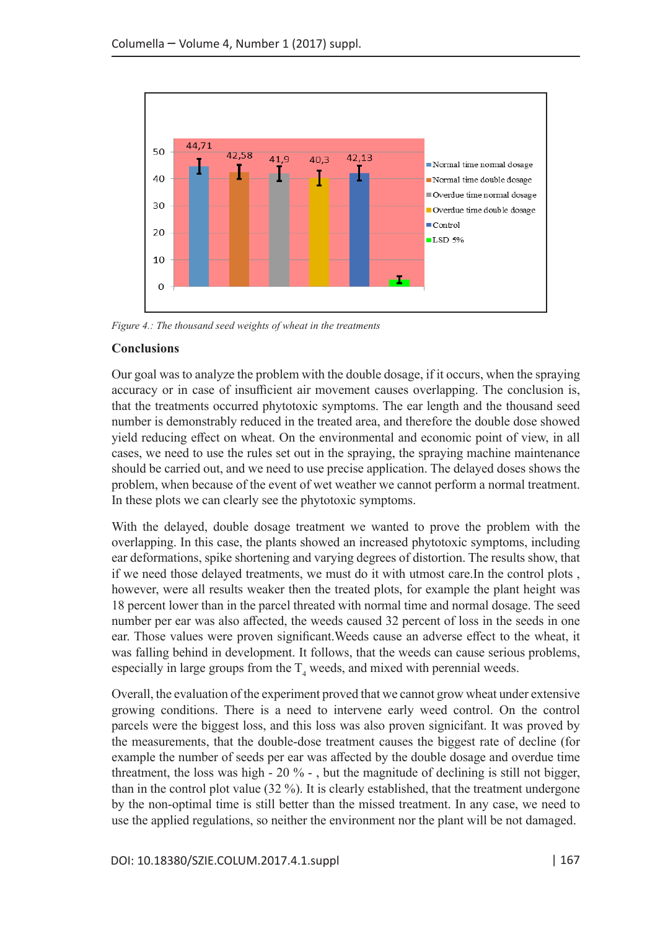

*Figure 4.: The thousand seed weights of wheat in the treatments*

## **Conclusions**

Our goal was to analyze the problem with the double dosage, if it occurs, when the spraying accuracy or in case of insufficient air movement causes overlapping. The conclusion is, that the treatments occurred phytotoxic symptoms. The ear length and the thousand seed number is demonstrably reduced in the treated area, and therefore the double dose showed yield reducing effect on wheat. On the environmental and economic point of view, in all cases, we need to use the rules set out in the spraying, the spraying machine maintenance should be carried out, and we need to use precise application. The delayed doses shows the problem, when because of the event of wet weather we cannot perform a normal treatment. In these plots we can clearly see the phytotoxic symptoms.

With the delayed, double dosage treatment we wanted to prove the problem with the overlapping. In this case, the plants showed an increased phytotoxic symptoms, including ear deformations, spike shortening and varying degrees of distortion. The results show, that if we need those delayed treatments, we must do it with utmost care.In the control plots , however, were all results weaker then the treated plots, for example the plant height was 18 percent lower than in the parcel threated with normal time and normal dosage. The seed number per ear was also affected, the weeds caused 32 percent of loss in the seeds in one ear. Those values were proven significant.Weeds cause an adverse effect to the wheat, it was falling behind in development. It follows, that the weeds can cause serious problems, especially in large groups from the  $T<sub>4</sub>$  weeds, and mixed with perennial weeds.

Overall, the evaluation of the experiment proved that we cannot grow wheat under extensive growing conditions. There is a need to intervene early weed control. On the control parcels were the biggest loss, and this loss was also proven signicifant. It was proved by the measurements, that the double-dose treatment causes the biggest rate of decline (for example the number of seeds per ear was affected by the double dosage and overdue time threatment, the loss was high - 20 % - , but the magnitude of declining is still not bigger, than in the control plot value (32 %). It is clearly established, that the treatment undergone by the non-optimal time is still better than the missed treatment. In any case, we need to use the applied regulations, so neither the environment nor the plant will be not damaged.